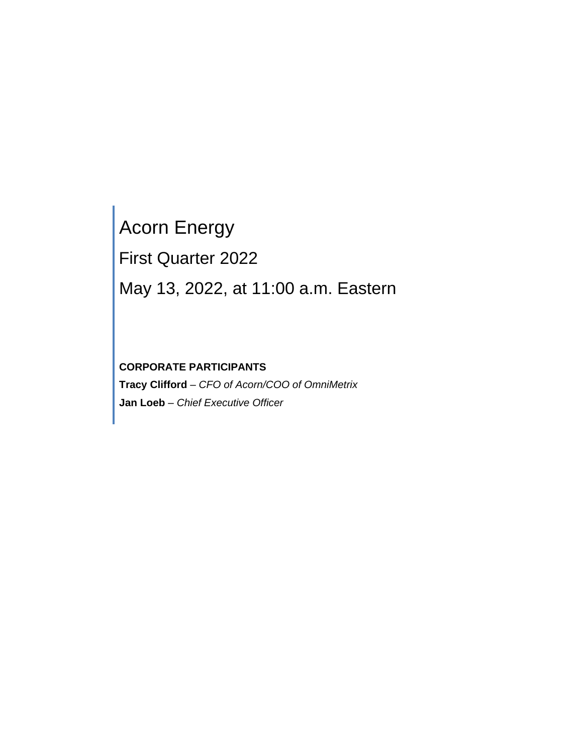# Acorn Energy First Quarter 2022 May 13, 2022, at 11:00 a.m. Eastern

# **CORPORATE PARTICIPANTS**

**Tracy Clifford** – *CFO of Acorn/COO of OmniMetrix* **Jan Loeb** *– Chief Executive Officer*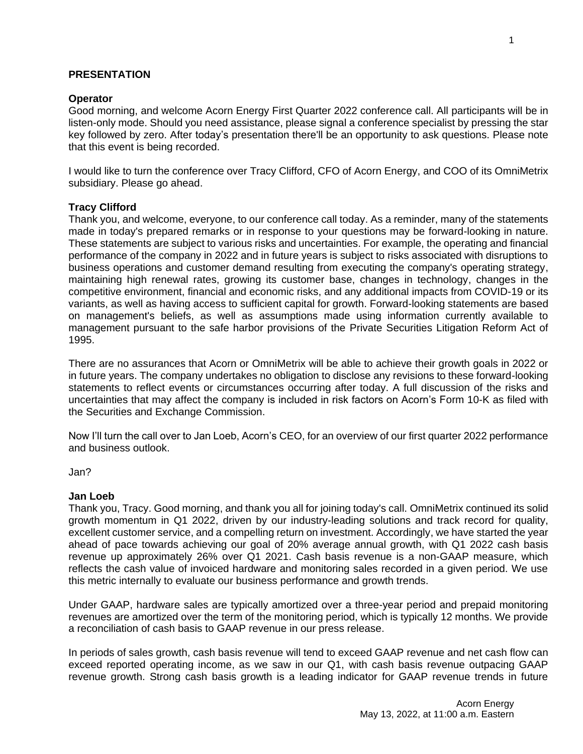# **PRESENTATION**

# **Operator**

Good morning, and welcome Acorn Energy First Quarter 2022 conference call. All participants will be in listen-only mode. Should you need assistance, please signal a conference specialist by pressing the star key followed by zero. After today's presentation there'll be an opportunity to ask questions. Please note that this event is being recorded.

I would like to turn the conference over Tracy Clifford, CFO of Acorn Energy, and COO of its OmniMetrix subsidiary. Please go ahead.

# **Tracy Clifford**

Thank you, and welcome, everyone, to our conference call today. As a reminder, many of the statements made in today's prepared remarks or in response to your questions may be forward-looking in nature. These statements are subject to various risks and uncertainties. For example, the operating and financial performance of the company in 2022 and in future years is subject to risks associated with disruptions to business operations and customer demand resulting from executing the company's operating strategy, maintaining high renewal rates, growing its customer base, changes in technology, changes in the competitive environment, financial and economic risks, and any additional impacts from COVID-19 or its variants, as well as having access to sufficient capital for growth. Forward-looking statements are based on management's beliefs, as well as assumptions made using information currently available to management pursuant to the safe harbor provisions of the Private Securities Litigation Reform Act of 1995.

There are no assurances that Acorn or OmniMetrix will be able to achieve their growth goals in 2022 or in future years. The company undertakes no obligation to disclose any revisions to these forward-looking statements to reflect events or circumstances occurring after today. A full discussion of the risks and uncertainties that may affect the company is included in risk factors on Acorn's Form 10-K as filed with the Securities and Exchange Commission.

Now I'll turn the call over to Jan Loeb, Acorn's CEO, for an overview of our first quarter 2022 performance and business outlook.

Jan?

# **Jan Loeb**

Thank you, Tracy. Good morning, and thank you all for joining today's call. OmniMetrix continued its solid growth momentum in Q1 2022, driven by our industry-leading solutions and track record for quality, excellent customer service, and a compelling return on investment. Accordingly, we have started the year ahead of pace towards achieving our goal of 20% average annual growth, with Q1 2022 cash basis revenue up approximately 26% over Q1 2021. Cash basis revenue is a non-GAAP measure, which reflects the cash value of invoiced hardware and monitoring sales recorded in a given period. We use this metric internally to evaluate our business performance and growth trends.

Under GAAP, hardware sales are typically amortized over a three-year period and prepaid monitoring revenues are amortized over the term of the monitoring period, which is typically 12 months. We provide a reconciliation of cash basis to GAAP revenue in our press release.

In periods of sales growth, cash basis revenue will tend to exceed GAAP revenue and net cash flow can exceed reported operating income, as we saw in our Q1, with cash basis revenue outpacing GAAP revenue growth. Strong cash basis growth is a leading indicator for GAAP revenue trends in future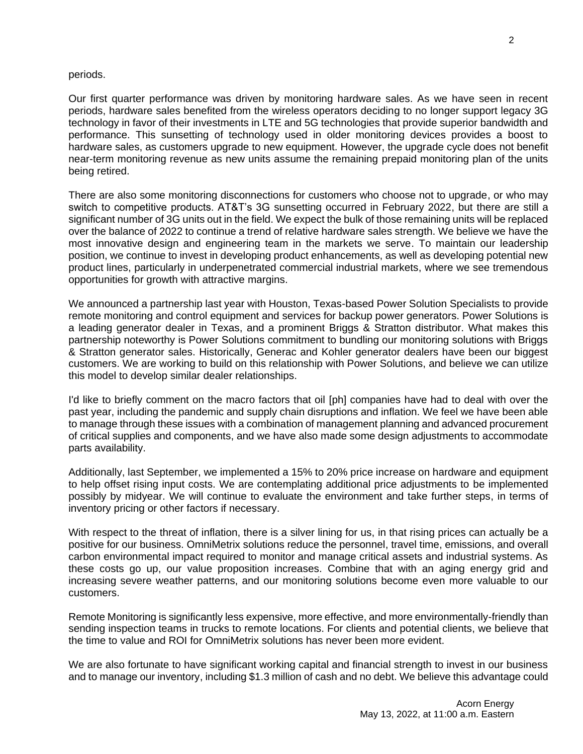#### periods.

Our first quarter performance was driven by monitoring hardware sales. As we have seen in recent periods, hardware sales benefited from the wireless operators deciding to no longer support legacy 3G technology in favor of their investments in LTE and 5G technologies that provide superior bandwidth and performance. This sunsetting of technology used in older monitoring devices provides a boost to hardware sales, as customers upgrade to new equipment. However, the upgrade cycle does not benefit near-term monitoring revenue as new units assume the remaining prepaid monitoring plan of the units being retired.

There are also some monitoring disconnections for customers who choose not to upgrade, or who may switch to competitive products. AT&T's 3G sunsetting occurred in February 2022, but there are still a significant number of 3G units out in the field. We expect the bulk of those remaining units will be replaced over the balance of 2022 to continue a trend of relative hardware sales strength. We believe we have the most innovative design and engineering team in the markets we serve. To maintain our leadership position, we continue to invest in developing product enhancements, as well as developing potential new product lines, particularly in underpenetrated commercial industrial markets, where we see tremendous opportunities for growth with attractive margins.

We announced a partnership last year with Houston, Texas-based Power Solution Specialists to provide remote monitoring and control equipment and services for backup power generators. Power Solutions is a leading generator dealer in Texas, and a prominent Briggs & Stratton distributor. What makes this partnership noteworthy is Power Solutions commitment to bundling our monitoring solutions with Briggs & Stratton generator sales. Historically, Generac and Kohler generator dealers have been our biggest customers. We are working to build on this relationship with Power Solutions, and believe we can utilize this model to develop similar dealer relationships.

I'd like to briefly comment on the macro factors that oil [ph] companies have had to deal with over the past year, including the pandemic and supply chain disruptions and inflation. We feel we have been able to manage through these issues with a combination of management planning and advanced procurement of critical supplies and components, and we have also made some design adjustments to accommodate parts availability.

Additionally, last September, we implemented a 15% to 20% price increase on hardware and equipment to help offset rising input costs. We are contemplating additional price adjustments to be implemented possibly by midyear. We will continue to evaluate the environment and take further steps, in terms of inventory pricing or other factors if necessary.

With respect to the threat of inflation, there is a silver lining for us, in that rising prices can actually be a positive for our business. OmniMetrix solutions reduce the personnel, travel time, emissions, and overall carbon environmental impact required to monitor and manage critical assets and industrial systems. As these costs go up, our value proposition increases. Combine that with an aging energy grid and increasing severe weather patterns, and our monitoring solutions become even more valuable to our customers.

Remote Monitoring is significantly less expensive, more effective, and more environmentally-friendly than sending inspection teams in trucks to remote locations. For clients and potential clients, we believe that the time to value and ROI for OmniMetrix solutions has never been more evident.

We are also fortunate to have significant working capital and financial strength to invest in our business and to manage our inventory, including \$1.3 million of cash and no debt. We believe this advantage could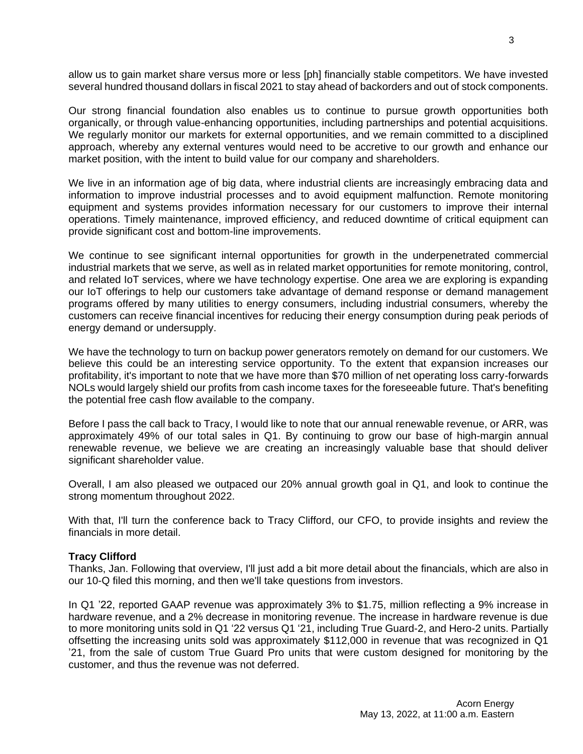allow us to gain market share versus more or less [ph] financially stable competitors. We have invested several hundred thousand dollars in fiscal 2021 to stay ahead of backorders and out of stock components.

Our strong financial foundation also enables us to continue to pursue growth opportunities both organically, or through value-enhancing opportunities, including partnerships and potential acquisitions. We regularly monitor our markets for external opportunities, and we remain committed to a disciplined approach, whereby any external ventures would need to be accretive to our growth and enhance our market position, with the intent to build value for our company and shareholders.

We live in an information age of big data, where industrial clients are increasingly embracing data and information to improve industrial processes and to avoid equipment malfunction. Remote monitoring equipment and systems provides information necessary for our customers to improve their internal operations. Timely maintenance, improved efficiency, and reduced downtime of critical equipment can provide significant cost and bottom-line improvements.

We continue to see significant internal opportunities for growth in the underpenetrated commercial industrial markets that we serve, as well as in related market opportunities for remote monitoring, control, and related IoT services, where we have technology expertise. One area we are exploring is expanding our IoT offerings to help our customers take advantage of demand response or demand management programs offered by many utilities to energy consumers, including industrial consumers, whereby the customers can receive financial incentives for reducing their energy consumption during peak periods of energy demand or undersupply.

We have the technology to turn on backup power generators remotely on demand for our customers. We believe this could be an interesting service opportunity. To the extent that expansion increases our profitability, it's important to note that we have more than \$70 million of net operating loss carry-forwards NOLs would largely shield our profits from cash income taxes for the foreseeable future. That's benefiting the potential free cash flow available to the company.

Before I pass the call back to Tracy, I would like to note that our annual renewable revenue, or ARR, was approximately 49% of our total sales in Q1. By continuing to grow our base of high-margin annual renewable revenue, we believe we are creating an increasingly valuable base that should deliver significant shareholder value.

Overall, I am also pleased we outpaced our 20% annual growth goal in Q1, and look to continue the strong momentum throughout 2022.

With that, I'll turn the conference back to Tracy Clifford, our CFO, to provide insights and review the financials in more detail.

# **Tracy Clifford**

Thanks, Jan. Following that overview, I'll just add a bit more detail about the financials, which are also in our 10-Q filed this morning, and then we'll take questions from investors.

In Q1 '22, reported GAAP revenue was approximately 3% to \$1.75, million reflecting a 9% increase in hardware revenue, and a 2% decrease in monitoring revenue. The increase in hardware revenue is due to more monitoring units sold in Q1 '22 versus Q1 '21, including True Guard-2, and Hero-2 units. Partially offsetting the increasing units sold was approximately \$112,000 in revenue that was recognized in Q1 '21, from the sale of custom True Guard Pro units that were custom designed for monitoring by the customer, and thus the revenue was not deferred.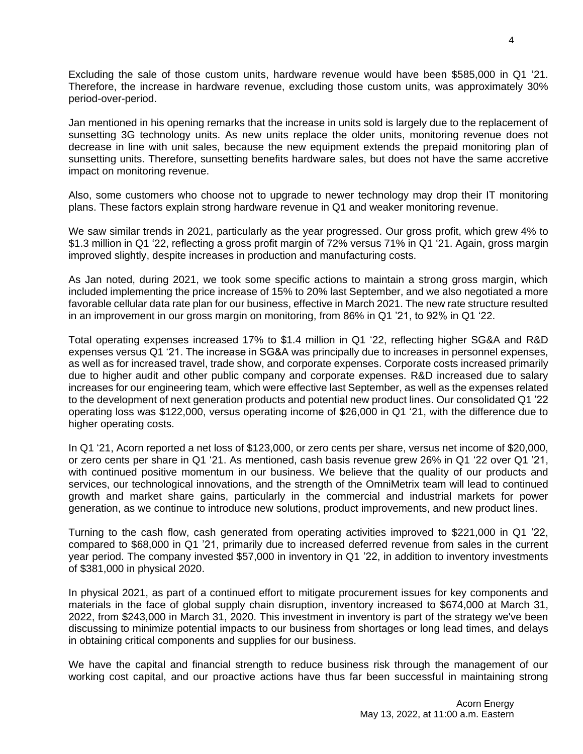Excluding the sale of those custom units, hardware revenue would have been \$585,000 in Q1 '21. Therefore, the increase in hardware revenue, excluding those custom units, was approximately 30% period-over-period.

Jan mentioned in his opening remarks that the increase in units sold is largely due to the replacement of sunsetting 3G technology units. As new units replace the older units, monitoring revenue does not decrease in line with unit sales, because the new equipment extends the prepaid monitoring plan of sunsetting units. Therefore, sunsetting benefits hardware sales, but does not have the same accretive impact on monitoring revenue.

Also, some customers who choose not to upgrade to newer technology may drop their IT monitoring plans. These factors explain strong hardware revenue in Q1 and weaker monitoring revenue.

We saw similar trends in 2021, particularly as the year progressed. Our gross profit, which grew 4% to \$1.3 million in Q1 '22, reflecting a gross profit margin of 72% versus 71% in Q1 '21. Again, gross margin improved slightly, despite increases in production and manufacturing costs.

As Jan noted, during 2021, we took some specific actions to maintain a strong gross margin, which included implementing the price increase of 15% to 20% last September, and we also negotiated a more favorable cellular data rate plan for our business, effective in March 2021. The new rate structure resulted in an improvement in our gross margin on monitoring, from 86% in Q1 '21, to 92% in Q1 '22.

Total operating expenses increased 17% to \$1.4 million in Q1 '22, reflecting higher SG&A and R&D expenses versus Q1 '21. The increase in SG&A was principally due to increases in personnel expenses, as well as for increased travel, trade show, and corporate expenses. Corporate costs increased primarily due to higher audit and other public company and corporate expenses. R&D increased due to salary increases for our engineering team, which were effective last September, as well as the expenses related to the development of next generation products and potential new product lines. Our consolidated Q1 '22 operating loss was \$122,000, versus operating income of \$26,000 in Q1 '21, with the difference due to higher operating costs.

In Q1 '21, Acorn reported a net loss of \$123,000, or zero cents per share, versus net income of \$20,000, or zero cents per share in Q1 '21. As mentioned, cash basis revenue grew 26% in Q1 '22 over Q1 '21, with continued positive momentum in our business. We believe that the quality of our products and services, our technological innovations, and the strength of the OmniMetrix team will lead to continued growth and market share gains, particularly in the commercial and industrial markets for power generation, as we continue to introduce new solutions, product improvements, and new product lines.

Turning to the cash flow, cash generated from operating activities improved to \$221,000 in Q1 '22, compared to \$68,000 in Q1 '21, primarily due to increased deferred revenue from sales in the current year period. The company invested \$57,000 in inventory in Q1 '22, in addition to inventory investments of \$381,000 in physical 2020.

In physical 2021, as part of a continued effort to mitigate procurement issues for key components and materials in the face of global supply chain disruption, inventory increased to \$674,000 at March 31, 2022, from \$243,000 in March 31, 2020. This investment in inventory is part of the strategy we've been discussing to minimize potential impacts to our business from shortages or long lead times, and delays in obtaining critical components and supplies for our business.

We have the capital and financial strength to reduce business risk through the management of our working cost capital, and our proactive actions have thus far been successful in maintaining strong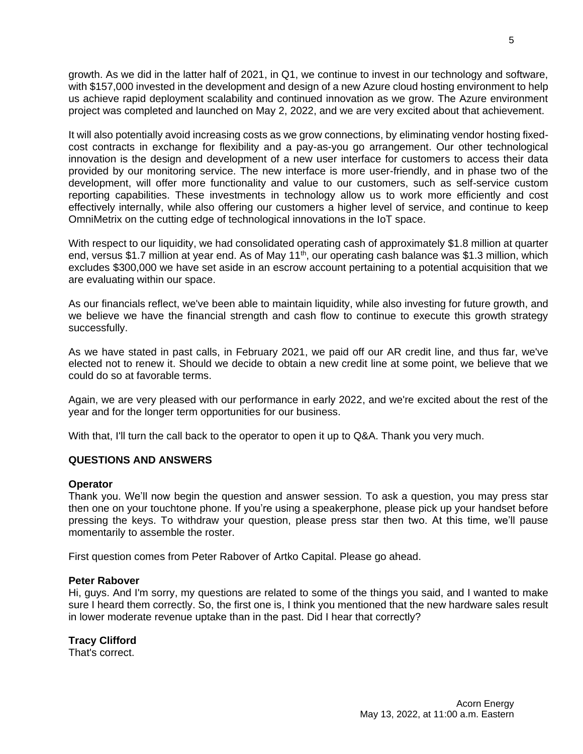growth. As we did in the latter half of 2021, in Q1, we continue to invest in our technology and software, with \$157,000 invested in the development and design of a new Azure cloud hosting environment to help us achieve rapid deployment scalability and continued innovation as we grow. The Azure environment project was completed and launched on May 2, 2022, and we are very excited about that achievement.

It will also potentially avoid increasing costs as we grow connections, by eliminating vendor hosting fixedcost contracts in exchange for flexibility and a pay-as-you go arrangement. Our other technological innovation is the design and development of a new user interface for customers to access their data provided by our monitoring service. The new interface is more user-friendly, and in phase two of the development, will offer more functionality and value to our customers, such as self-service custom reporting capabilities. These investments in technology allow us to work more efficiently and cost effectively internally, while also offering our customers a higher level of service, and continue to keep OmniMetrix on the cutting edge of technological innovations in the IoT space.

With respect to our liquidity, we had consolidated operating cash of approximately \$1.8 million at quarter end, versus \$1.7 million at year end. As of May 11<sup>th</sup>, our operating cash balance was \$1.3 million, which excludes \$300,000 we have set aside in an escrow account pertaining to a potential acquisition that we are evaluating within our space.

As our financials reflect, we've been able to maintain liquidity, while also investing for future growth, and we believe we have the financial strength and cash flow to continue to execute this growth strategy successfully.

As we have stated in past calls, in February 2021, we paid off our AR credit line, and thus far, we've elected not to renew it. Should we decide to obtain a new credit line at some point, we believe that we could do so at favorable terms.

Again, we are very pleased with our performance in early 2022, and we're excited about the rest of the year and for the longer term opportunities for our business.

With that, I'll turn the call back to the operator to open it up to Q&A. Thank you very much.

# **QUESTIONS AND ANSWERS**

#### **Operator**

Thank you. We'll now begin the question and answer session. To ask a question, you may press star then one on your touchtone phone. If you're using a speakerphone, please pick up your handset before pressing the keys. To withdraw your question, please press star then two. At this time, we'll pause momentarily to assemble the roster.

First question comes from Peter Rabover of Artko Capital. Please go ahead.

#### **Peter Rabover**

Hi, guys. And I'm sorry, my questions are related to some of the things you said, and I wanted to make sure I heard them correctly. So, the first one is, I think you mentioned that the new hardware sales result in lower moderate revenue uptake than in the past. Did I hear that correctly?

# **Tracy Clifford**

That's correct.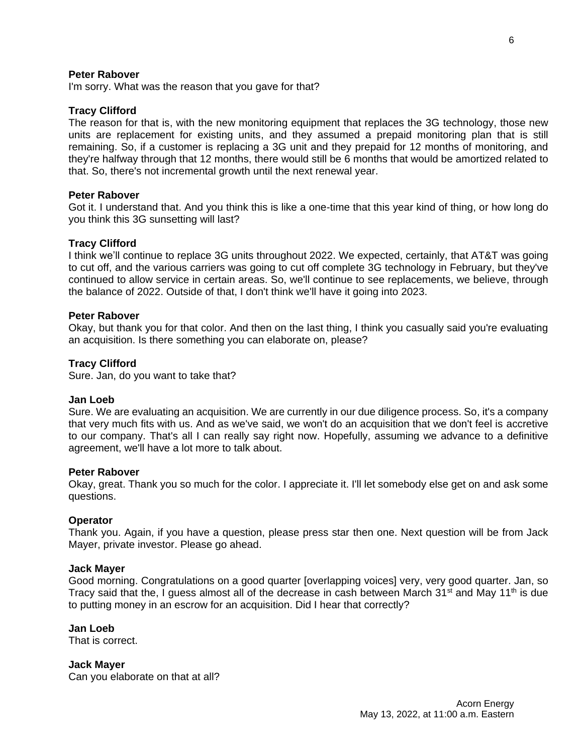## **Peter Rabover**

I'm sorry. What was the reason that you gave for that?

## **Tracy Clifford**

The reason for that is, with the new monitoring equipment that replaces the 3G technology, those new units are replacement for existing units, and they assumed a prepaid monitoring plan that is still remaining. So, if a customer is replacing a 3G unit and they prepaid for 12 months of monitoring, and they're halfway through that 12 months, there would still be 6 months that would be amortized related to that. So, there's not incremental growth until the next renewal year.

#### **Peter Rabover**

Got it. I understand that. And you think this is like a one-time that this year kind of thing, or how long do you think this 3G sunsetting will last?

#### **Tracy Clifford**

I think we'll continue to replace 3G units throughout 2022. We expected, certainly, that AT&T was going to cut off, and the various carriers was going to cut off complete 3G technology in February, but they've continued to allow service in certain areas. So, we'll continue to see replacements, we believe, through the balance of 2022. Outside of that, I don't think we'll have it going into 2023.

#### **Peter Rabover**

Okay, but thank you for that color. And then on the last thing, I think you casually said you're evaluating an acquisition. Is there something you can elaborate on, please?

#### **Tracy Clifford**

Sure. Jan, do you want to take that?

#### **Jan Loeb**

Sure. We are evaluating an acquisition. We are currently in our due diligence process. So, it's a company that very much fits with us. And as we've said, we won't do an acquisition that we don't feel is accretive to our company. That's all I can really say right now. Hopefully, assuming we advance to a definitive agreement, we'll have a lot more to talk about.

#### **Peter Rabover**

Okay, great. Thank you so much for the color. I appreciate it. I'll let somebody else get on and ask some questions.

#### **Operator**

Thank you. Again, if you have a question, please press star then one. Next question will be from Jack Mayer, private investor. Please go ahead.

#### **Jack Mayer**

Good morning. Congratulations on a good quarter [overlapping voices] very, very good quarter. Jan, so Tracy said that the, I guess almost all of the decrease in cash between March  $31<sup>st</sup>$  and May  $11<sup>th</sup>$  is due to putting money in an escrow for an acquisition. Did I hear that correctly?

#### **Jan Loeb**

That is correct.

**Jack Mayer** Can you elaborate on that at all?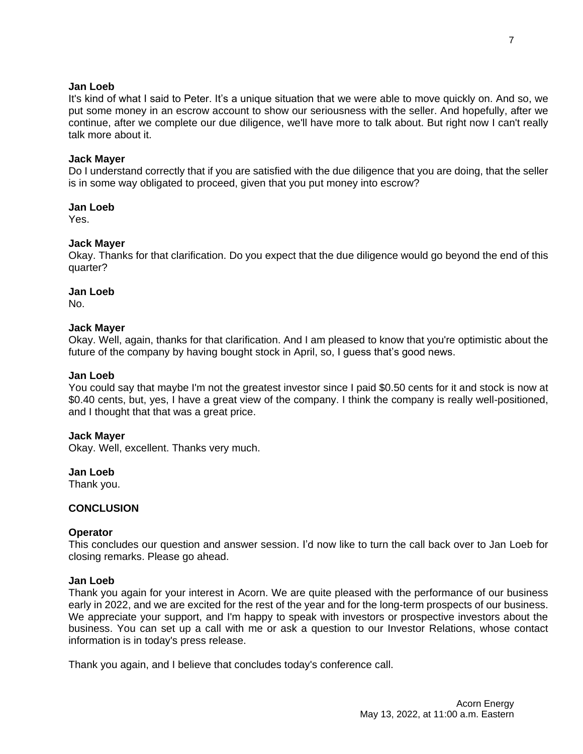# **Jan Loeb**

It's kind of what I said to Peter. It's a unique situation that we were able to move quickly on. And so, we put some money in an escrow account to show our seriousness with the seller. And hopefully, after we continue, after we complete our due diligence, we'll have more to talk about. But right now I can't really talk more about it.

# **Jack Mayer**

Do I understand correctly that if you are satisfied with the due diligence that you are doing, that the seller is in some way obligated to proceed, given that you put money into escrow?

# **Jan Loeb**

Yes.

# **Jack Mayer**

Okay. Thanks for that clarification. Do you expect that the due diligence would go beyond the end of this quarter?

#### **Jan Loeb**

No.

# **Jack Mayer**

Okay. Well, again, thanks for that clarification. And I am pleased to know that you're optimistic about the future of the company by having bought stock in April, so, I guess that's good news.

#### **Jan Loeb**

You could say that maybe I'm not the greatest investor since I paid \$0.50 cents for it and stock is now at \$0.40 cents, but, yes, I have a great view of the company. I think the company is really well-positioned, and I thought that that was a great price.

# **Jack Mayer**

Okay. Well, excellent. Thanks very much.

# **Jan Loeb**

Thank you.

# **CONCLUSION**

# **Operator**

This concludes our question and answer session. I'd now like to turn the call back over to Jan Loeb for closing remarks. Please go ahead.

# **Jan Loeb**

Thank you again for your interest in Acorn. We are quite pleased with the performance of our business early in 2022, and we are excited for the rest of the year and for the long-term prospects of our business. We appreciate your support, and I'm happy to speak with investors or prospective investors about the business. You can set up a call with me or ask a question to our Investor Relations, whose contact information is in today's press release.

Thank you again, and I believe that concludes today's conference call.